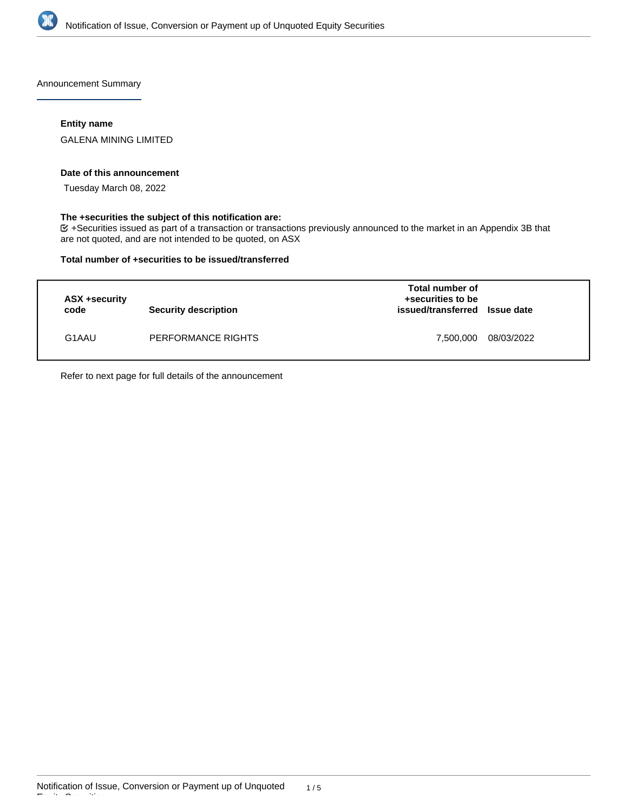

Announcement Summary

## **Entity name**

GALENA MINING LIMITED

#### **Date of this announcement**

Tuesday March 08, 2022

### **The +securities the subject of this notification are:**

+Securities issued as part of a transaction or transactions previously announced to the market in an Appendix 3B that are not quoted, and are not intended to be quoted, on ASX

#### **Total number of +securities to be issued/transferred**

| ASX +security<br>code | <b>Security description</b> | Total number of<br>+securities to be<br>issued/transferred Issue date |            |
|-----------------------|-----------------------------|-----------------------------------------------------------------------|------------|
| G1AAU                 | PERFORMANCE RIGHTS          | 7,500,000                                                             | 08/03/2022 |

Refer to next page for full details of the announcement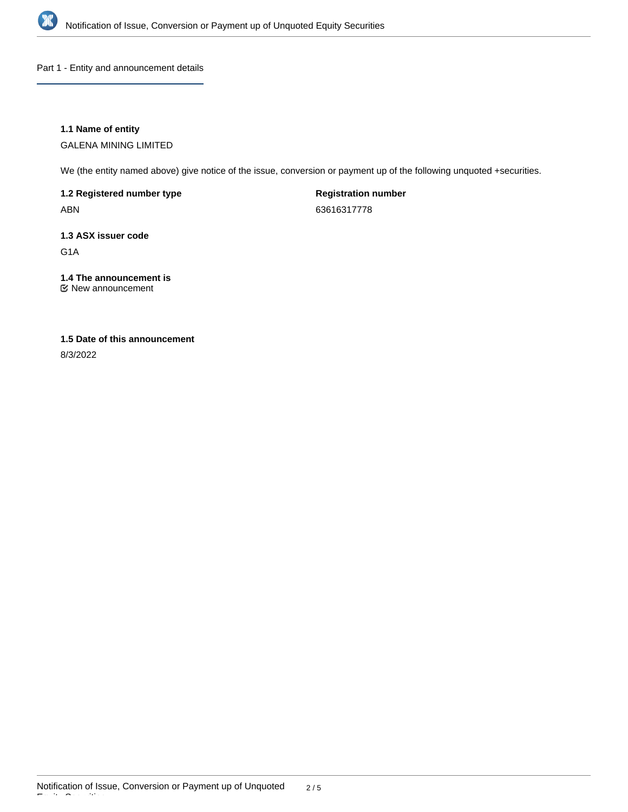

Part 1 - Entity and announcement details

## **1.1 Name of entity**

GALENA MINING LIMITED

We (the entity named above) give notice of the issue, conversion or payment up of the following unquoted +securities.

**1.2 Registered number type**

ABN

**Registration number** 63616317778

**1.3 ASX issuer code**

G1A

# **1.4 The announcement is**

New announcement

## **1.5 Date of this announcement**

8/3/2022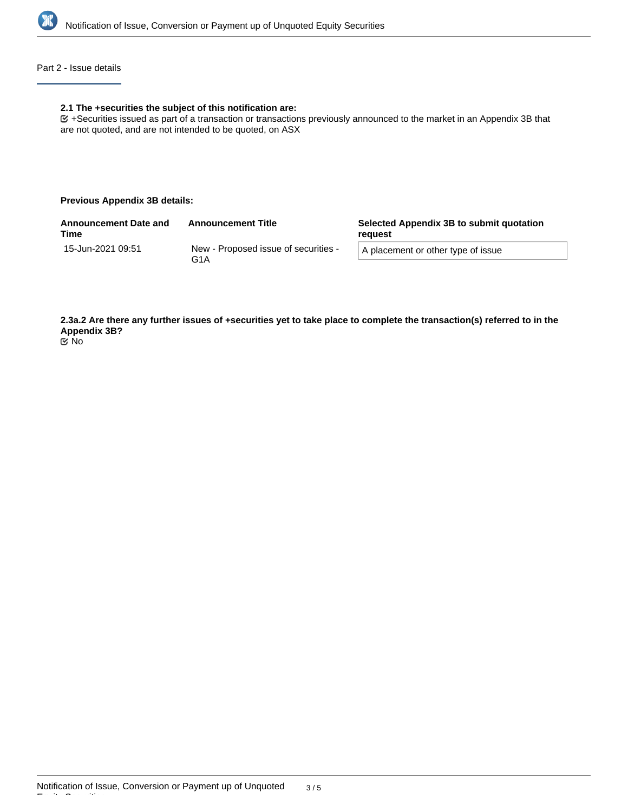

## Part 2 - Issue details

#### **2.1 The +securities the subject of this notification are:**

+Securities issued as part of a transaction or transactions previously announced to the market in an Appendix 3B that are not quoted, and are not intended to be quoted, on ASX

#### **Previous Appendix 3B details:**

| <b>Announcement Date and</b><br><b>Time</b> | <b>Announcement Title</b>                                | Selected Appendix 3B to submit quotation<br>reauest |  |
|---------------------------------------------|----------------------------------------------------------|-----------------------------------------------------|--|
| 15-Jun-2021 09:51                           | New - Proposed issue of securities -<br>G <sub>1</sub> A | A placement or other type of issue                  |  |
|                                             |                                                          |                                                     |  |

**2.3a.2 Are there any further issues of +securities yet to take place to complete the transaction(s) referred to in the Appendix 3B?** No

Equity Securities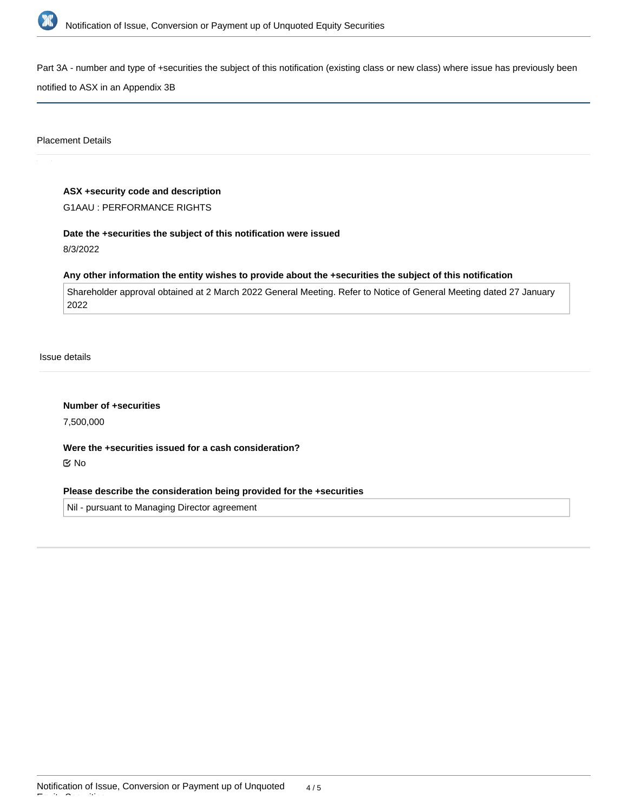

Part 3A - number and type of +securities the subject of this notification (existing class or new class) where issue has previously been

notified to ASX in an Appendix 3B

Placement Details

#### **ASX +security code and description**

G1AAU : PERFORMANCE RIGHTS

## **Date the +securities the subject of this notification were issued**

8/3/2022

#### **Any other information the entity wishes to provide about the +securities the subject of this notification**

Shareholder approval obtained at 2 March 2022 General Meeting. Refer to Notice of General Meeting dated 27 January 2022

Issue details

**Number of +securities**

7,500,000

**Were the +securities issued for a cash consideration?** No

## **Please describe the consideration being provided for the +securities**

Nil - pursuant to Managing Director agreement